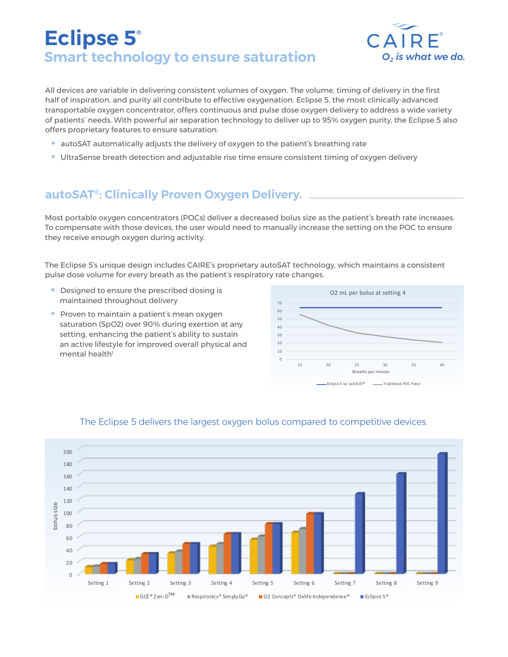# **Eclipse 5® Smart technology to ensure saturation**  $O_2$  is what we do.



All devices are variable in delivering consistent volumes of oxygen. The volume, timing of delivery in the first half of inspiration, and purity all contribute to effective oxygenation. Eclipse 5, the most clinically-advanced transportable oxygen concentrator, offers continuous and pulse dose oxygen delivery to address a wide variety of patients' needs. With powerful air separation technology to deliver up to 95% oxygen purity, the Eclipse 5 also offers proprietary features to ensure saturation:

- autoSAT automatically adjusts the delivery of oxygen to the patient's breathing rate
- UltraSense breath detection and adjustable rise time ensure consistent timing of oxygen delivery

## **autoSAT®: Clinically Proven Oxygen Delivery.**

Most portable oxygen concentrators (POCs) deliver a decreased bolus size as the patient's breath rate increases. To compensate with those devices, the user would need to manually increase the setting on the POC to ensure they receive enough oxygen during activity.

The Eclipse 5's unique design includes CAIRE's proprietary autoSAT technology, which maintains a consistent pulse dose volume for every breath as the patient's respiratory rate changes.

- Designed to ensure the prescribed dosing is maintained throughout delivery
- Proven to maintain a patient's mean oxygen saturation (SpO2) over 90% during exertion at any setting, enhancing the patient's ability to sustain an active lifestyle for improved overall physical and mental health<sup>1</sup>





### The Eclipse 5 delivers the largest oxygen bolus compared to competitive devices.